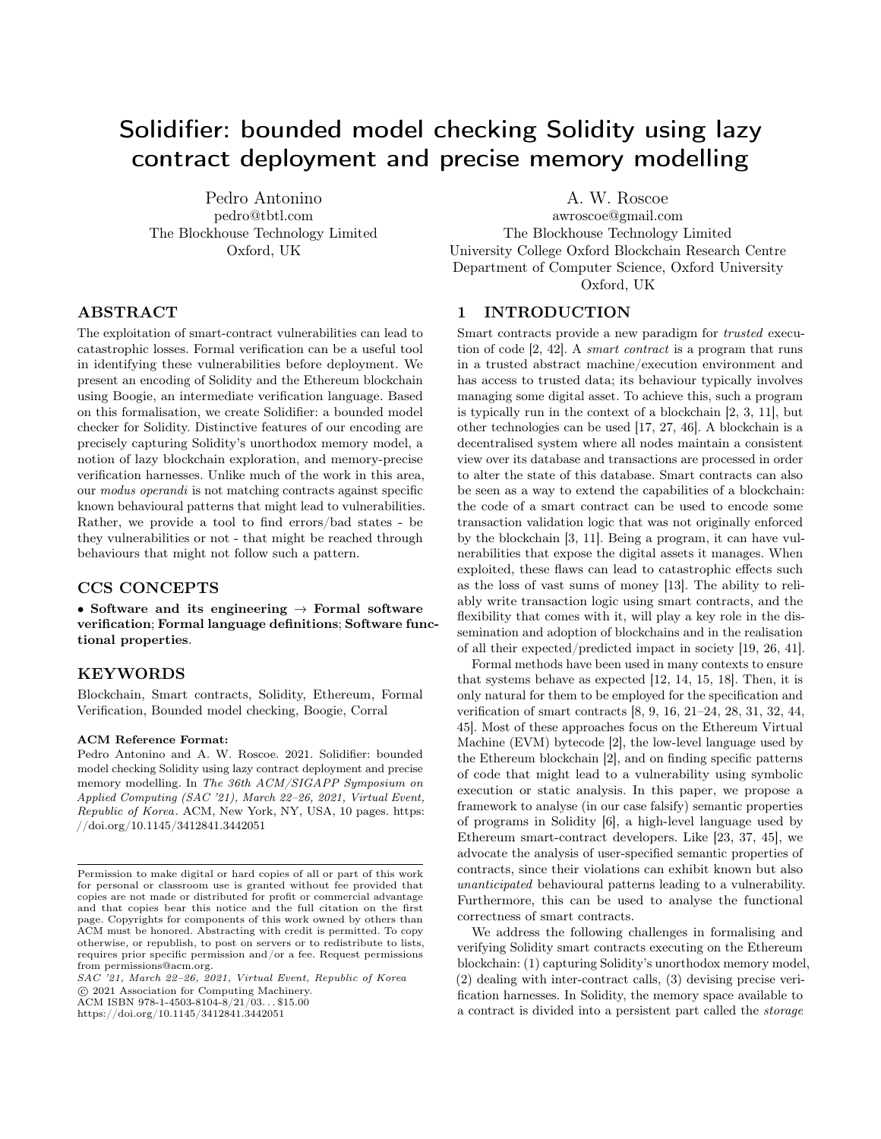# Solidifier: bounded model checking Solidity using lazy contract deployment and precise memory modelling

Pedro Antonino pedro@tbtl.com The Blockhouse Technology Limited Oxford, UK

# ABSTRACT

The exploitation of smart-contract vulnerabilities can lead to catastrophic losses. Formal verification can be a useful tool in identifying these vulnerabilities before deployment. We present an encoding of Solidity and the Ethereum blockchain using Boogie, an intermediate verification language. Based on this formalisation, we create Solidifier: a bounded model checker for Solidity. Distinctive features of our encoding are precisely capturing Solidity's unorthodox memory model, a notion of lazy blockchain exploration, and memory-precise verification harnesses. Unlike much of the work in this area, our modus operandi is not matching contracts against specific known behavioural patterns that might lead to vulnerabilities. Rather, we provide a tool to find errors/bad states - be they vulnerabilities or not - that might be reached through behaviours that might not follow such a pattern.

## CCS CONCEPTS

• Software and its engineering  $\rightarrow$  Formal software verification; Formal language definitions; Software functional properties.

### KEYWORDS

Blockchain, Smart contracts, Solidity, Ethereum, Formal Verification, Bounded model checking, Boogie, Corral

#### ACM Reference Format:

Pedro Antonino and A. W. Roscoe. 2021. Solidifier: bounded model checking Solidity using lazy contract deployment and precise memory modelling. In The 36th ACM/SIGAPP Symposium on Applied Computing (SAC '21), March 22–26, 2021, Virtual Event, Republic of Korea. ACM, New York, NY, USA, [10](#page-9-0) pages. [https:](https://doi.org/10.1145/3412841.3442051) [//doi.org/10.1145/3412841.3442051](https://doi.org/10.1145/3412841.3442051)

⃝c 2021 Association for Computing Machinery. ACM ISBN 978-1-4503-8104-8/21/03... \$15.00

<https://doi.org/10.1145/3412841.3442051>

A. W. Roscoe

awroscoe@gmail.com The Blockhouse Technology Limited University College Oxford Blockchain Research Centre Department of Computer Science, Oxford University Oxford, UK

## 1 INTRODUCTION

Smart contracts provide a new paradigm for *trusted* execution of code [\[2,](#page-8-0) [42\]](#page-9-1). A smart contract is a program that runs in a trusted abstract machine/execution environment and has access to trusted data; its behaviour typically involves managing some digital asset. To achieve this, such a program is typically run in the context of a blockchain [\[2,](#page-8-0) [3,](#page-9-2) [11\]](#page-9-3), but other technologies can be used [\[17,](#page-9-4) [27,](#page-9-5) [46\]](#page-9-6). A blockchain is a decentralised system where all nodes maintain a consistent view over its database and transactions are processed in order to alter the state of this database. Smart contracts can also be seen as a way to extend the capabilities of a blockchain: the code of a smart contract can be used to encode some transaction validation logic that was not originally enforced by the blockchain [\[3,](#page-9-2) [11\]](#page-9-3). Being a program, it can have vulnerabilities that expose the digital assets it manages. When exploited, these flaws can lead to catastrophic effects such as the loss of vast sums of money [\[13\]](#page-9-7). The ability to reliably write transaction logic using smart contracts, and the flexibility that comes with it, will play a key role in the dissemination and adoption of blockchains and in the realisation of all their expected/predicted impact in society [\[19,](#page-9-8) [26,](#page-9-9) [41\]](#page-9-10).

Formal methods have been used in many contexts to ensure that systems behave as expected [\[12,](#page-9-11) [14,](#page-9-12) [15,](#page-9-13) [18\]](#page-9-14). Then, it is only natural for them to be employed for the specification and verification of smart contracts [\[8,](#page-9-15) [9,](#page-9-16) [16,](#page-9-17) [21](#page-9-18)[–24,](#page-9-19) [28,](#page-9-20) [31,](#page-9-21) [32,](#page-9-22) [44,](#page-9-23) [45\]](#page-9-24). Most of these approaches focus on the Ethereum Virtual Machine (EVM) bytecode [\[2\]](#page-8-0), the low-level language used by the Ethereum blockchain [\[2\]](#page-8-0), and on finding specific patterns of code that might lead to a vulnerability using symbolic execution or static analysis. In this paper, we propose a framework to analyse (in our case falsify) semantic properties of programs in Solidity [\[6\]](#page-9-25), a high-level language used by Ethereum smart-contract developers. Like [\[23,](#page-9-26) [37,](#page-9-27) [45\]](#page-9-24), we advocate the analysis of user-specified semantic properties of contracts, since their violations can exhibit known but also unanticipated behavioural patterns leading to a vulnerability. Furthermore, this can be used to analyse the functional correctness of smart contracts.

We address the following challenges in formalising and verifying Solidity smart contracts executing on the Ethereum blockchain: (1) capturing Solidity's unorthodox memory model, (2) dealing with inter-contract calls, (3) devising precise verification harnesses. In Solidity, the memory space available to a contract is divided into a persistent part called the storage

Permission to make digital or hard copies of all or part of this work for personal or classroom use is granted without fee provided that copies are not made or distributed for profit or commercial advantage and that copies bear this notice and the full citation on the first page. Copyrights for components of this work owned by others than ACM must be honored. Abstracting with credit is permitted. To copy otherwise, or republish, to post on servers or to redistribute to lists, requires prior specific permission and/or a fee. Request permissions from permissions@acm.org.

SAC '21, March 22–26, 2021, Virtual Event, Republic of Korea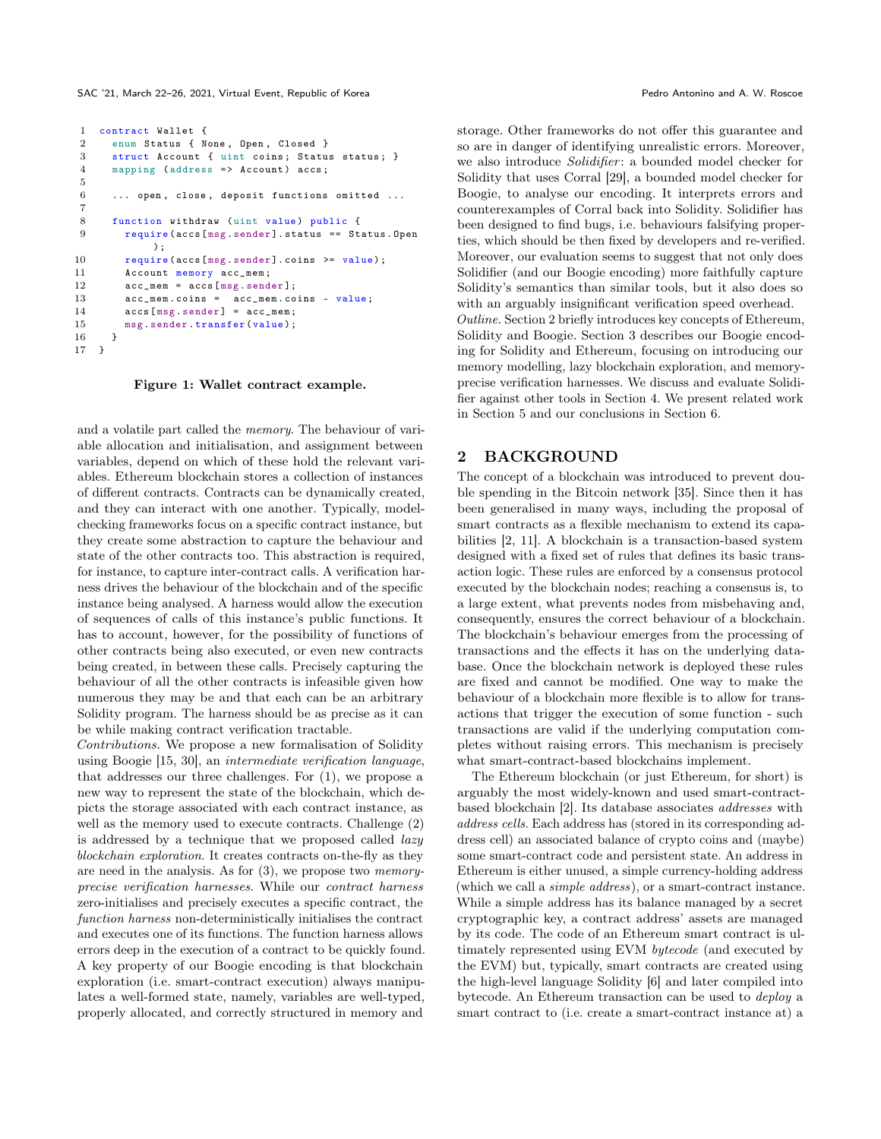```
1 contract Wallet {
2 enum Status { None, Open, Closed }<br>3 struct Account { uint coins: Statu
      struct Account { uint coins; Status status; }
4 mapping (address => Account) accs;
5
6 ... open, close, deposit functions omitted ...
7
8 function withdraw (uint value) public {
9 require ( accs [ msg . sender ]. status == Status . Open
            );
10 require (accs [msg. sender]. coins >= value);
11 Account memory acc_mem ;
12 acc_mem = accs [msg.sender];
13 acc_mem . coins = acc_mem . coins - value ;
14 accs [msg.sender] = acc_mem;
15 msg. sender. transfer (value);
16 }
17 }
```
Figure 1: Wallet contract example.

and a volatile part called the memory. The behaviour of variable allocation and initialisation, and assignment between variables, depend on which of these hold the relevant variables. Ethereum blockchain stores a collection of instances of different contracts. Contracts can be dynamically created, and they can interact with one another. Typically, modelchecking frameworks focus on a specific contract instance, but they create some abstraction to capture the behaviour and state of the other contracts too. This abstraction is required, for instance, to capture inter-contract calls. A verification harness drives the behaviour of the blockchain and of the specific instance being analysed. A harness would allow the execution of sequences of calls of this instance's public functions. It has to account, however, for the possibility of functions of other contracts being also executed, or even new contracts being created, in between these calls. Precisely capturing the behaviour of all the other contracts is infeasible given how numerous they may be and that each can be an arbitrary Solidity program. The harness should be as precise as it can be while making contract verification tractable.

Contributions. We propose a new formalisation of Solidity using Boogie [\[15,](#page-9-13) [30\]](#page-9-28), an intermediate verification language, that addresses our three challenges. For (1), we propose a new way to represent the state of the blockchain, which depicts the storage associated with each contract instance, as well as the memory used to execute contracts. Challenge (2) is addressed by a technique that we proposed called lazy blockchain exploration. It creates contracts on-the-fly as they are need in the analysis. As for (3), we propose two memoryprecise verification harnesses. While our contract harness zero-initialises and precisely executes a specific contract, the function harness non-deterministically initialises the contract and executes one of its functions. The function harness allows errors deep in the execution of a contract to be quickly found. A key property of our Boogie encoding is that blockchain exploration (i.e. smart-contract execution) always manipulates a well-formed state, namely, variables are well-typed, properly allocated, and correctly structured in memory and

storage. Other frameworks do not offer this guarantee and so are in danger of identifying unrealistic errors. Moreover, we also introduce *Solidifier*: a bounded model checker for Solidity that uses Corral [\[29\]](#page-9-29), a bounded model checker for Boogie, to analyse our encoding. It interprets errors and counterexamples of Corral back into Solidity. Solidifier has been designed to find bugs, i.e. behaviours falsifying properties, which should be then fixed by developers and re-verified. Moreover, our evaluation seems to suggest that not only does Solidifier (and our Boogie encoding) more faithfully capture Solidity's semantics than similar tools, but it also does so with an arguably insignificant verification speed overhead. Outline. Section [2](#page-1-0) briefly introduces key concepts of Ethereum, Solidity and Boogie. Section [3](#page-2-0) describes our Boogie encoding for Solidity and Ethereum, focusing on introducing our memory modelling, lazy blockchain exploration, and memoryprecise verification harnesses. We discuss and evaluate Solidifier against other tools in Section [4.](#page-6-0) We present related work in Section [5](#page-7-0) and our conclusions in Section [6.](#page-8-1)

# <span id="page-1-0"></span>2 BACKGROUND

The concept of a blockchain was introduced to prevent double spending in the Bitcoin network [\[35\]](#page-9-30). Since then it has been generalised in many ways, including the proposal of smart contracts as a flexible mechanism to extend its capabilities [\[2,](#page-8-0) [11\]](#page-9-3). A blockchain is a transaction-based system designed with a fixed set of rules that defines its basic transaction logic. These rules are enforced by a consensus protocol executed by the blockchain nodes; reaching a consensus is, to a large extent, what prevents nodes from misbehaving and, consequently, ensures the correct behaviour of a blockchain. The blockchain's behaviour emerges from the processing of transactions and the effects it has on the underlying database. Once the blockchain network is deployed these rules are fixed and cannot be modified. One way to make the behaviour of a blockchain more flexible is to allow for transactions that trigger the execution of some function - such transactions are valid if the underlying computation completes without raising errors. This mechanism is precisely what smart-contract-based blockchains implement.

The Ethereum blockchain (or just Ethereum, for short) is arguably the most widely-known and used smart-contractbased blockchain [\[2\]](#page-8-0). Its database associates addresses with address cells. Each address has (stored in its corresponding address cell) an associated balance of crypto coins and (maybe) some smart-contract code and persistent state. An address in Ethereum is either unused, a simple currency-holding address (which we call a simple address), or a smart-contract instance. While a simple address has its balance managed by a secret cryptographic key, a contract address' assets are managed by its code. The code of an Ethereum smart contract is ultimately represented using EVM bytecode (and executed by the EVM) but, typically, smart contracts are created using the high-level language Solidity [\[6\]](#page-9-25) and later compiled into bytecode. An Ethereum transaction can be used to deploy a smart contract to (i.e. create a smart-contract instance at) a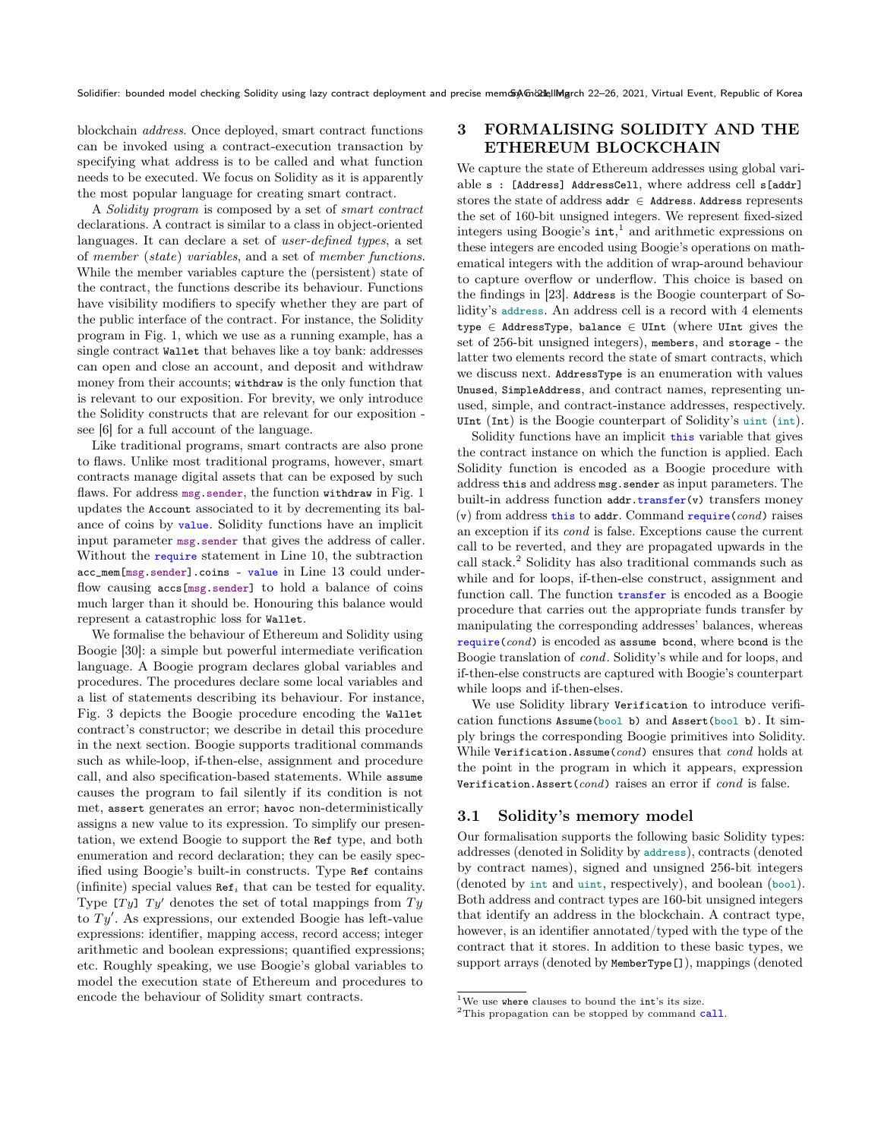blockchain address. Once deployed, smart contract functions can be invoked using a contract-execution transaction by specifying what address is to be called and what function needs to be executed. We focus on Solidity as it is apparently the most popular language for creating smart contract.

A Solidity program is composed by a set of smart contract declarations. A contract is similar to a class in object-oriented languages. It can declare a set of user-defined types, a set of member (state) variables, and a set of member functions. While the member variables capture the (persistent) state of the contract, the functions describe its behaviour. Functions have visibility modifiers to specify whether they are part of the public interface of the contract. For instance, the Solidity program in Fig. [1,](#page-1-1) which we use as a running example, has a single contract Wallet that behaves like a toy bank: addresses can open and close an account, and deposit and withdraw money from their accounts; withdraw is the only function that is relevant to our exposition. For brevity, we only introduce the Solidity constructs that are relevant for our exposition see [\[6\]](#page-9-25) for a full account of the language.

Like traditional programs, smart contracts are also prone to flaws. Unlike most traditional programs, however, smart contracts manage digital assets that can be exposed by such flaws. For address msg.sender, the function withdraw in Fig. [1](#page-1-1) updates the Account associated to it by decrementing its balance of coins by value. Solidity functions have an implicit input parameter msg.sender that gives the address of caller. Without the require statement in Line 10, the subtraction acc\_mem[msg.sender].coins - value in Line 13 could underflow causing accs[msg.sender] to hold a balance of coins much larger than it should be. Honouring this balance would represent a catastrophic loss for Wallet.

We formalise the behaviour of Ethereum and Solidity using Boogie [\[30\]](#page-9-28): a simple but powerful intermediate verification language. A Boogie program declares global variables and procedures. The procedures declare some local variables and a list of statements describing its behaviour. For instance, Fig. [3](#page-4-0) depicts the Boogie procedure encoding the Wallet contract's constructor; we describe in detail this procedure in the next section. Boogie supports traditional commands such as while-loop, if-then-else, assignment and procedure call, and also specification-based statements. While assume causes the program to fail silently if its condition is not met, assert generates an error; havoc non-deterministically assigns a new value to its expression. To simplify our presentation, we extend Boogie to support the Ref type, and both enumeration and record declaration; they can be easily specified using Boogie's built-in constructs. Type Ref contains (infinite) special values  $\text{Ref}_i$  that can be tested for equality. Type  $Ty$  denotes the set of total mappings from  $Ty$ to  $Ty'$ . As expressions, our extended Boogie has left-value expressions: identifier, mapping access, record access; integer arithmetic and boolean expressions; quantified expressions; etc. Roughly speaking, we use Boogie's global variables to model the execution state of Ethereum and procedures to encode the behaviour of Solidity smart contracts.

# <span id="page-2-0"></span>3 FORMALISING SOLIDITY AND THE ETHEREUM BLOCKCHAIN

We capture the state of Ethereum addresses using global variable s : [Address] AddressCell, where address cell s[addr] stores the state of address  $addr \in$  Address. Address represents the set of 160-bit unsigned integers. We represent fixed-sized integers using Boogie's int, [1](#page-2-1) and arithmetic expressions on these integers are encoded using Boogie's operations on mathematical integers with the addition of wrap-around behaviour to capture overflow or underflow. This choice is based on the findings in [\[23\]](#page-9-26). Address is the Boogie counterpart of Solidity's address. An address cell is a record with 4 elements type ∈ AddressType, balance ∈ UInt (where UInt gives the set of 256-bit unsigned integers), members, and storage - the latter two elements record the state of smart contracts, which we discuss next. AddressType is an enumeration with values Unused, SimpleAddress, and contract names, representing unused, simple, and contract-instance addresses, respectively. UInt (Int) is the Boogie counterpart of Solidity's uint (int).

Solidity functions have an implicit this variable that gives the contract instance on which the function is applied. Each Solidity function is encoded as a Boogie procedure with address this and address msg.sender as input parameters. The built-in address function addr.transfer(v) transfers money  $(v)$  from address this to addr. Command require(cond) raises an exception if its cond is false. Exceptions cause the current call to be reverted, and they are propagated upwards in the call stack.[2](#page-2-2) Solidity has also traditional commands such as while and for loops, if-then-else construct, assignment and function call. The function transfer is encoded as a Boogie procedure that carries out the appropriate funds transfer by manipulating the corresponding addresses' balances, whereas  $require (cond)$  is encoded as assume bcond, where bcond is the Boogie translation of cond. Solidity's while and for loops, and if-then-else constructs are captured with Boogie's counterpart while loops and if-then-elses.

We use Solidity library Verification to introduce verification functions Assume(bool b) and Assert(bool b). It simply brings the corresponding Boogie primitives into Solidity. While Verification.Assume(cond) ensures that cond holds at the point in the program in which it appears, expression Verification.Assert(cond) raises an error if  $cond$  is false.

## 3.1 Solidity's memory model

Our formalisation supports the following basic Solidity types: addresses (denoted in Solidity by address), contracts (denoted by contract names), signed and unsigned 256-bit integers (denoted by int and uint, respectively), and boolean (bool). Both address and contract types are 160-bit unsigned integers that identify an address in the blockchain. A contract type, however, is an identifier annotated/typed with the type of the contract that it stores. In addition to these basic types, we support arrays (denoted by MemberType[]), mappings (denoted

<span id="page-2-1"></span> $^1\rm{We}$  use where clauses to bound the  $\rm{int}$  its size.

<span id="page-2-2"></span><sup>&</sup>lt;sup>2</sup>This propagation can be stopped by command call.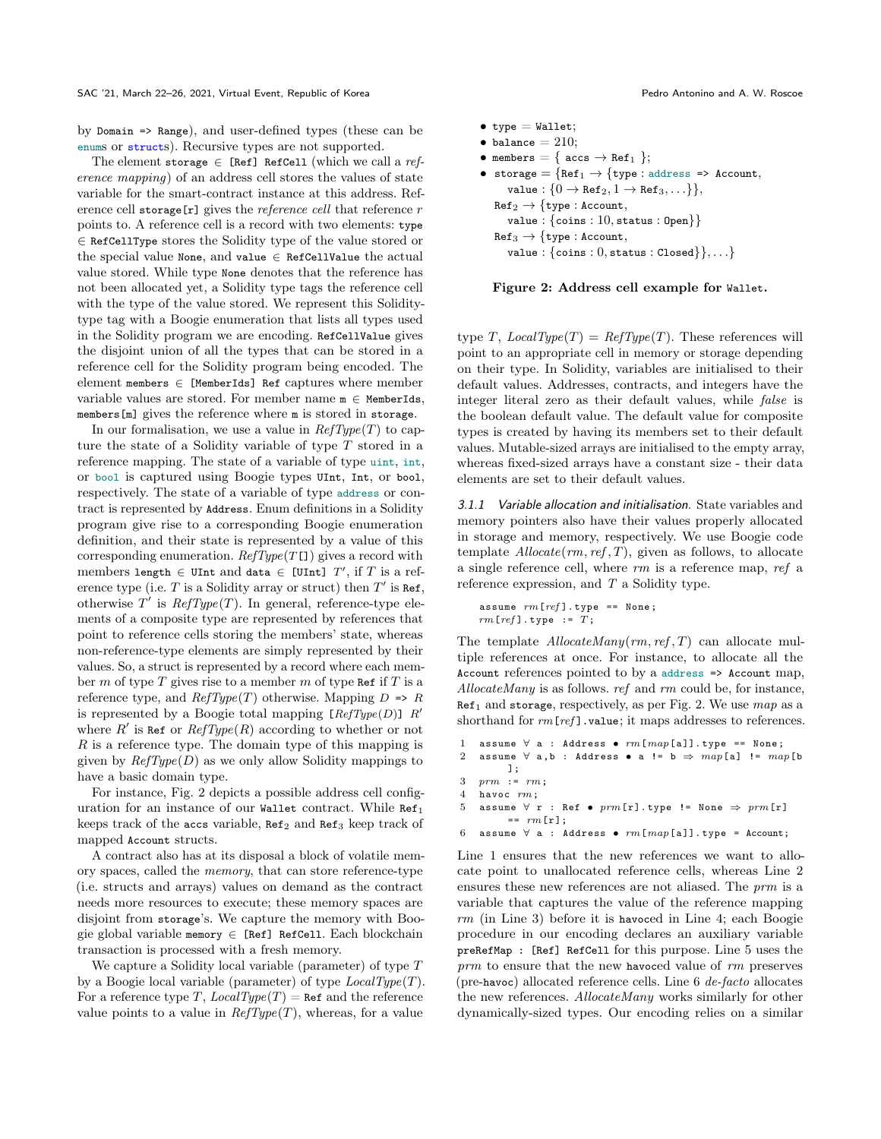by Domain => Range), and user-defined types (these can be enums or structs). Recursive types are not supported.

The element storage  $\in$  [Ref] RefCell (which we call a reference mapping) of an address cell stores the values of state variable for the smart-contract instance at this address. Reference cell storage<sup>[r]</sup> gives the *reference cell* that reference  $r$ points to. A reference cell is a record with two elements: type ∈ RefCellType stores the Solidity type of the value stored or the special value None, and value  $\in$  RefCellValue the actual value stored. While type None denotes that the reference has not been allocated yet, a Solidity type tags the reference cell with the type of the value stored. We represent this Soliditytype tag with a Boogie enumeration that lists all types used in the Solidity program we are encoding. RefCellValue gives the disjoint union of all the types that can be stored in a reference cell for the Solidity program being encoded. The element members  $\in$  [MemberIds] Ref captures where member variable values are stored. For member name  $m \in$  MemberIds, members[m] gives the reference where m is stored in storage.

In our formalisation, we use a value in  $RefType(T)$  to capture the state of a Solidity variable of type  $T$  stored in a reference mapping. The state of a variable of type uint, int, or bool is captured using Boogie types UInt, Int, or bool, respectively. The state of a variable of type address or contract is represented by Address. Enum definitions in a Solidity program give rise to a corresponding Boogie enumeration definition, and their state is represented by a value of this corresponding enumeration.  $RefType(T[])$  gives a record with members length  $\in$  UInt and data  $\in$  [UInt]  $T'$ , if T is a reference type (i.e. T is a Solidity array or struct) then  $T'$  is Ref, otherwise  $T'$  is  $RefType(T)$ . In general, reference-type elements of a composite type are represented by references that point to reference cells storing the members' state, whereas non-reference-type elements are simply represented by their values. So, a struct is represented by a record where each member m of type  $T$  gives rise to a member m of type Ref if  $T$  is a reference type, and  $RefType(T)$  otherwise. Mapping  $D \Rightarrow R$ is represented by a Boogie total mapping  $[RefType(D)]$  R' where  $R'$  is Ref or  $RefType(R)$  according to whether or not  $R$  is a reference type. The domain type of this mapping is given by  $RefType(D)$  as we only allow Solidity mappings to have a basic domain type.

For instance, Fig. [2](#page-3-0) depicts a possible address cell configuration for an instance of our Wallet contract. While  $Ref<sub>1</sub>$ keeps track of the accs variable, Ref<sub>2</sub> and Ref<sub>3</sub> keep track of mapped Account structs.

A contract also has at its disposal a block of volatile memory spaces, called the memory, that can store reference-type (i.e. structs and arrays) values on demand as the contract needs more resources to execute; these memory spaces are disjoint from storage's. We capture the memory with Boogie global variable memory  $\in$  [Ref] RefCell. Each blockchain transaction is processed with a fresh memory.

We capture a Solidity local variable (parameter) of type T by a Boogie local variable (parameter) of type  $LocalType(T)$ . For a reference type T,  $LocalType(T) =$ Ref and the reference value points to a value in  $RefType(T)$ , whereas, for a value

```
\bullet type = Wallet;
\bullet balance = 210;
• members = { accs \rightarrow Ref_1 };
• storage = {Ref<sub>1</sub> \rightarrow {type : address => Account,
       value : \{0 \rightarrow \texttt{Ref}_2, 1 \rightarrow \texttt{Ref}_3, \ldots\},
   Ref_2 \rightarrow \{type: Account,value : \{ \text{coins} : 10, \text{status} : \text{Open} \}Ref_3 \rightarrow \{type: Account,value : \{\text{coins} : 0, \text{status} : \text{Closed}\}, \ldots\}
```


type T,  $LocalType(T) = RefType(T)$ . These references will point to an appropriate cell in memory or storage depending on their type. In Solidity, variables are initialised to their default values. Addresses, contracts, and integers have the integer literal zero as their default values, while false is the boolean default value. The default value for composite types is created by having its members set to their default values. Mutable-sized arrays are initialised to the empty array, whereas fixed-sized arrays have a constant size - their data elements are set to their default values.

3.1.1 Variable allocation and initialisation. State variables and memory pointers also have their values properly allocated in storage and memory, respectively. We use Boogie code template  $\text{Allocate}(rm, ref, T)$ , given as follows, to allocate a single reference cell, where rm is a reference map, ref a reference expression, and  $T$  a Solidity type.

```
assume rm[ref]. type == None;
rm[ref] . type : T;
```
The template  $\textit{Allow}$   $\textit{Allocate}$   $\textit{Many}(rm, ref, T)$  can allocate multiple references at once. For instance, to allocate all the Account references pointed to by a address => Account map, AllocateMany is as follows. ref and rm could be, for instance,  $Ref<sub>1</sub>$  and storage, respectively, as per Fig. [2.](#page-3-0) We use  $map$  as a shorthand for  $rm[ref]$ .value; it maps addresses to references.

```
1 assume \forall a : Address • rm[map[a]]. type == None;2 assume \forall a,b : Address • a != b \Rightarrow map[a] != map[b
        ];
```

```
3 prm := rm;
```

```
4 havoc rm:
```
5 assume  $\forall$  r : Ref •  $\text{prm}[\mathbf{r}]$ . type != None  $\Rightarrow$   $\text{prm}[\mathbf{r}]$  $=$   $rm[r]:$ 

```
6 assume \forall a : Address • rm[map[a]]. type = Account;
```
Line 1 ensures that the new references we want to allocate point to unallocated reference cells, whereas Line 2 ensures these new references are not aliased. The prm is a variable that captures the value of the reference mapping rm (in Line 3) before it is havoced in Line 4; each Boogie procedure in our encoding declares an auxiliary variable preRefMap : [Ref] RefCell for this purpose. Line 5 uses the prm to ensure that the new havoced value of rm preserves (pre-havoc) allocated reference cells. Line 6 de-facto allocates the new references. AllocateMany works similarly for other dynamically-sized types. Our encoding relies on a similar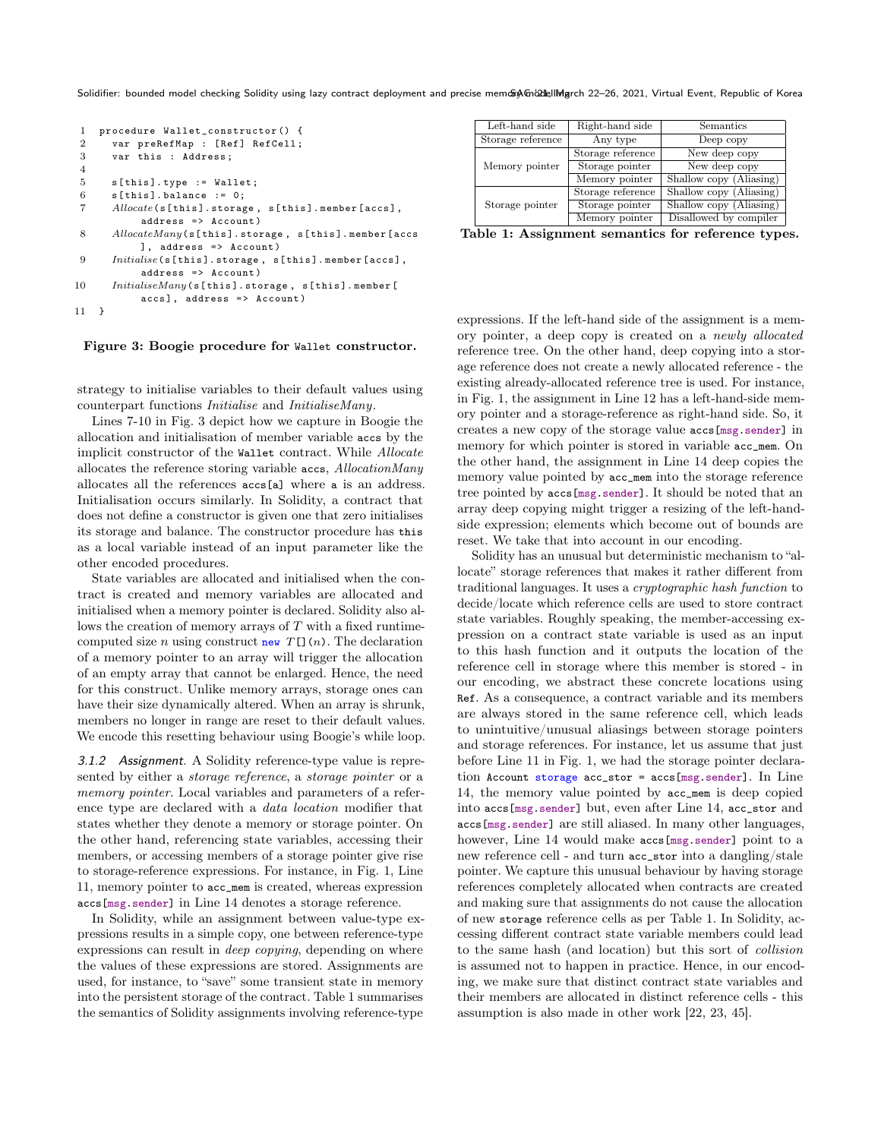Solidifier: bounded model checking Solidity using lazy contract deployment and precise memory man all ingrill march 22-26, 2021, Virtual Event, Republic of Korea

```
1 procedure Wallet_constructor () {
 2 var preRefMap : [Ref] RefCell;<br>3 var this : Address:
       var this : Address;
 4
 5 s[ this ]. type := Wallet ;
 6 \qquad s[this]. balance := 0;
 7 Allocate(s[ this ]. storage , s[ this ]. member [ accs ] ,
            address => Account)
 8 AllocateMany(s[this].storage, s[this].member [accs
            ], address => Account)
 9 \qquad \quad In itialise \verb| (s [this] . storage , \verb| s [this] . member [accs] ],address => Account)
10 InitialiseMany(s[this].storage, s[this].member [
            accs], address => Account)
11 }
```
#### Figure 3: Boogie procedure for Wallet constructor.

strategy to initialise variables to their default values using counterpart functions Initialise and InitialiseMany.

Lines 7-10 in Fig. [3](#page-4-0) depict how we capture in Boogie the allocation and initialisation of member variable accs by the implicit constructor of the Wallet contract. While Allocate allocates the reference storing variable accs, AllocationMany allocates all the references accs[a] where a is an address. Initialisation occurs similarly. In Solidity, a contract that does not define a constructor is given one that zero initialises its storage and balance. The constructor procedure has this as a local variable instead of an input parameter like the other encoded procedures.

State variables are allocated and initialised when the contract is created and memory variables are allocated and initialised when a memory pointer is declared. Solidity also allows the creation of memory arrays of  $T$  with a fixed runtimecomputed size n using construct new  $T$ [](n). The declaration of a memory pointer to an array will trigger the allocation of an empty array that cannot be enlarged. Hence, the need for this construct. Unlike memory arrays, storage ones can have their size dynamically altered. When an array is shrunk, members no longer in range are reset to their default values. We encode this resetting behaviour using Boogie's while loop.

3.1.2 Assignment. A Solidity reference-type value is represented by either a storage reference, a storage pointer or a memory pointer. Local variables and parameters of a reference type are declared with a data location modifier that states whether they denote a memory or storage pointer. On the other hand, referencing state variables, accessing their members, or accessing members of a storage pointer give rise to storage-reference expressions. For instance, in Fig. [1,](#page-1-1) Line 11, memory pointer to acc\_mem is created, whereas expression accs[msg.sender] in Line 14 denotes a storage reference.

In Solidity, while an assignment between value-type expressions results in a simple copy, one between reference-type expressions can result in deep copying, depending on where the values of these expressions are stored. Assignments are used, for instance, to "save" some transient state in memory into the persistent storage of the contract. Table [1](#page-4-1) summarises the semantics of Solidity assignments involving reference-type

<span id="page-4-1"></span>

| Left-hand side    | Right-hand side   | Semantics               |  |
|-------------------|-------------------|-------------------------|--|
| Storage reference | Any type          | Deep copy               |  |
| Memory pointer    | Storage reference | New deep copy           |  |
|                   | Storage pointer   | New deep copy           |  |
|                   | Memory pointer    | Shallow copy (Aliasing) |  |
| Storage pointer   | Storage reference | Shallow copy (Aliasing) |  |
|                   | Storage pointer   | Shallow copy (Aliasing) |  |
|                   | Memory pointer    | Disallowed by compiler  |  |

Table 1: Assignment semantics for reference types.

expressions. If the left-hand side of the assignment is a memory pointer, a deep copy is created on a newly allocated reference tree. On the other hand, deep copying into a storage reference does not create a newly allocated reference - the existing already-allocated reference tree is used. For instance, in Fig. [1,](#page-1-1) the assignment in Line 12 has a left-hand-side memory pointer and a storage-reference as right-hand side. So, it creates a new copy of the storage value accs[msg.sender] in memory for which pointer is stored in variable acc\_mem. On the other hand, the assignment in Line 14 deep copies the memory value pointed by acc\_mem into the storage reference tree pointed by accs[msg.sender]. It should be noted that an array deep copying might trigger a resizing of the left-handside expression; elements which become out of bounds are reset. We take that into account in our encoding.

Solidity has an unusual but deterministic mechanism to "allocate" storage references that makes it rather different from traditional languages. It uses a cryptographic hash function to decide/locate which reference cells are used to store contract state variables. Roughly speaking, the member-accessing expression on a contract state variable is used as an input to this hash function and it outputs the location of the reference cell in storage where this member is stored - in our encoding, we abstract these concrete locations using Ref. As a consequence, a contract variable and its members are always stored in the same reference cell, which leads to unintuitive/unusual aliasings between storage pointers and storage references. For instance, let us assume that just before Line 11 in Fig. [1,](#page-1-1) we had the storage pointer declaration Account storage acc\_stor = accs[msg.sender]. In Line 14, the memory value pointed by acc\_mem is deep copied into accs[msg.sender] but, even after Line 14, acc\_stor and accs[msg.sender] are still aliased. In many other languages, however, Line 14 would make accs[msg.sender] point to a new reference cell - and turn acc\_stor into a dangling/stale pointer. We capture this unusual behaviour by having storage references completely allocated when contracts are created and making sure that assignments do not cause the allocation of new storage reference cells as per Table [1.](#page-4-1) In Solidity, accessing different contract state variable members could lead to the same hash (and location) but this sort of collision is assumed not to happen in practice. Hence, in our encoding, we make sure that distinct contract state variables and their members are allocated in distinct reference cells - this assumption is also made in other work [\[22,](#page-9-31) [23,](#page-9-26) [45\]](#page-9-24).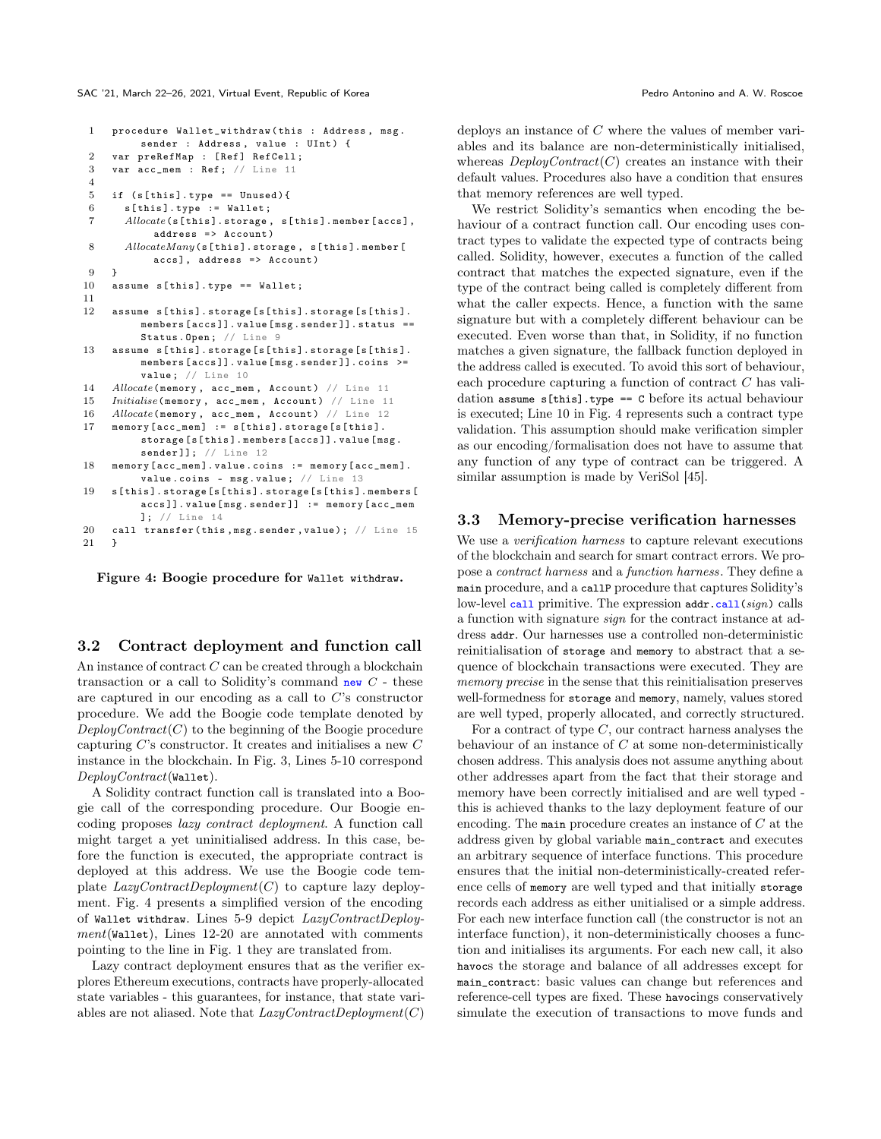```
1 procedure Wallet withdraw (this : Address, msg.
         sender : Address, value : UInt) {
2 var preRefMap : [Ref] RefCell;
3 var acc_mem : Ref ; // Line 11
4
5 if (s[this].type == Unused)6 s[ this ]. type := Wallet ;
7 Allocate (s[this].storage, s[this].member [accs],
           address => Account )
8 AllocateMany(s[this].storage, s[this].member [
           accs], address => Account)
9 }
10 assume s[this].type == Wallet;
11
12 assume s[ this ]. storage [s[ this ]. storage [s[ this ].
         members [ accs ]]. value [ msg . sender ]]. status ==
         Status. Open; // Line 9
13 assume s[this].storage[s[this].storage[s[this].
         members [ accs ]]. value [ msg . sender ]]. coins >=
         value; // Line 10
14 Allocate (memory, acc_mem, Account) // Line 11
15 Initialise (memory, acc_mem, Account) // Line 11
16 Allocate (memory, acc_mem, Account) // Line 12
17 memory [acc\_mem] := s[this].stronge[s[this].storage [s[ this ]. members [ accs ]]. value [ msg .
         sender 11: // Line 12
18 memory [acc_mem]. value. coins := memory [acc_mem].
         value.coins - msg. value; // Line 13
19 s[ this ]. storage [s[ this ]. storage [s[ this ]. members [
         accs ]]. value [ msg . sender ]] := memory [ acc_mem
         ]; // Line 14
20 call transfer (this, msg. sender, value); // Line 15
21 \t\rightarrow
```
Figure 4: Boogie procedure for Wallet withdraw.

## 3.2 Contract deployment and function call

An instance of contract  $C$  can be created through a blockchain transaction or a call to Solidity's command new  $C$  - these are captured in our encoding as a call to C's constructor procedure. We add the Boogie code template denoted by  $DeployContract(C)$  to the beginning of the Boogie procedure capturing  $C$ 's constructor. It creates and initialises a new  $C$ instance in the blockchain. In Fig. [3,](#page-4-0) Lines 5-10 correspond DeployContract(Wallet).

A Solidity contract function call is translated into a Boogie call of the corresponding procedure. Our Boogie encoding proposes lazy contract deployment. A function call might target a yet uninitialised address. In this case, before the function is executed, the appropriate contract is deployed at this address. We use the Boogie code template  $LazyContractDeployment(C)$  to capture lazy deployment. Fig. [4](#page-5-0) presents a simplified version of the encoding of Wallet withdraw. Lines 5-9 depict LazyContractDeploy $ment$ (Wallet), Lines 12-20 are annotated with comments pointing to the line in Fig. [1](#page-1-1) they are translated from.

Lazy contract deployment ensures that as the verifier explores Ethereum executions, contracts have properly-allocated state variables - this guarantees, for instance, that state variables are not aliased. Note that  $LazyContractDepth(C)$ 

deploys an instance of C where the values of member variables and its balance are non-deterministically initialised, whereas  $DeployContract(C)$  creates an instance with their default values. Procedures also have a condition that ensures that memory references are well typed.

We restrict Solidity's semantics when encoding the behaviour of a contract function call. Our encoding uses contract types to validate the expected type of contracts being called. Solidity, however, executes a function of the called contract that matches the expected signature, even if the type of the contract being called is completely different from what the caller expects. Hence, a function with the same signature but with a completely different behaviour can be executed. Even worse than that, in Solidity, if no function matches a given signature, the fallback function deployed in the address called is executed. To avoid this sort of behaviour, each procedure capturing a function of contract C has validation assume  $s[this].type == C before its actual behaviour$ is executed; Line 10 in Fig. [4](#page-5-0) represents such a contract type validation. This assumption should make verification simpler as our encoding/formalisation does not have to assume that any function of any type of contract can be triggered. A similar assumption is made by VeriSol [\[45\]](#page-9-24).

#### 3.3 Memory-precise verification harnesses

We use a *verification harness* to capture relevant executions of the blockchain and search for smart contract errors. We propose a contract harness and a function harness. They define a main procedure, and a callP procedure that captures Solidity's low-level call primitive. The expression  $\text{addr} \cdot \text{call}(sign)$  calls a function with signature sign for the contract instance at address addr. Our harnesses use a controlled non-deterministic reinitialisation of storage and memory to abstract that a sequence of blockchain transactions were executed. They are memory precise in the sense that this reinitialisation preserves well-formedness for storage and memory, namely, values stored are well typed, properly allocated, and correctly structured.

For a contract of type  $C$ , our contract harness analyses the behaviour of an instance of  $C$  at some non-deterministically chosen address. This analysis does not assume anything about other addresses apart from the fact that their storage and memory have been correctly initialised and are well typed this is achieved thanks to the lazy deployment feature of our encoding. The main procedure creates an instance of C at the address given by global variable main\_contract and executes an arbitrary sequence of interface functions. This procedure ensures that the initial non-deterministically-created reference cells of memory are well typed and that initially storage records each address as either unitialised or a simple address. For each new interface function call (the constructor is not an interface function), it non-deterministically chooses a function and initialises its arguments. For each new call, it also havocs the storage and balance of all addresses except for main\_contract: basic values can change but references and reference-cell types are fixed. These havocings conservatively simulate the execution of transactions to move funds and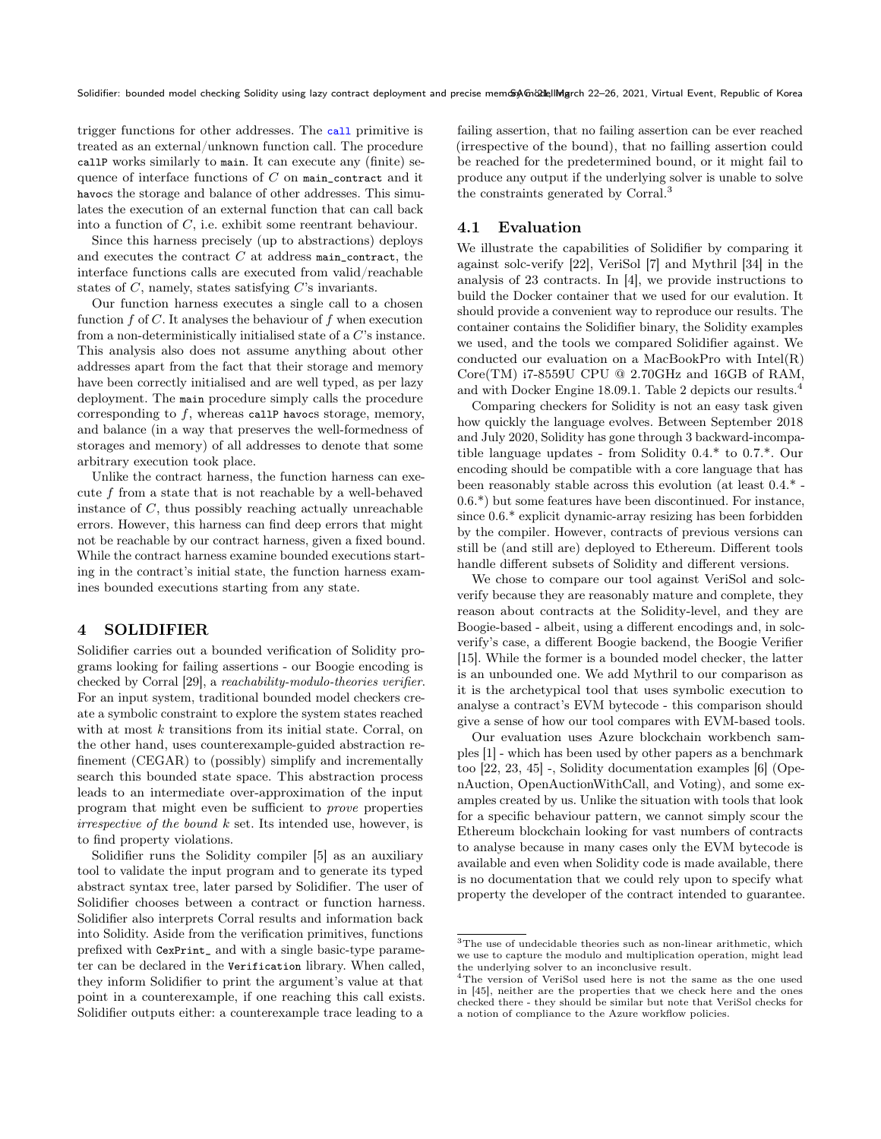trigger functions for other addresses. The call primitive is treated as an external/unknown function call. The procedure callP works similarly to main. It can execute any (finite) sequence of interface functions of  $C$  on main\_contract and it havocs the storage and balance of other addresses. This simulates the execution of an external function that can call back into a function of C, i.e. exhibit some reentrant behaviour.

Since this harness precisely (up to abstractions) deploys and executes the contract  $C$  at address main\_contract, the interface functions calls are executed from valid/reachable states of  $C$ , namely, states satisfying  $C$ 's invariants.

Our function harness executes a single call to a chosen function  $f$  of  $C$ . It analyses the behaviour of  $f$  when execution from a non-deterministically initialised state of a C's instance. This analysis also does not assume anything about other addresses apart from the fact that their storage and memory have been correctly initialised and are well typed, as per lazy deployment. The main procedure simply calls the procedure corresponding to f, whereas callP havocs storage, memory, and balance (in a way that preserves the well-formedness of storages and memory) of all addresses to denote that some arbitrary execution took place.

Unlike the contract harness, the function harness can execute f from a state that is not reachable by a well-behaved instance of C, thus possibly reaching actually unreachable errors. However, this harness can find deep errors that might not be reachable by our contract harness, given a fixed bound. While the contract harness examine bounded executions starting in the contract's initial state, the function harness examines bounded executions starting from any state.

#### <span id="page-6-0"></span>4 SOLIDIFIER

Solidifier carries out a bounded verification of Solidity programs looking for failing assertions - our Boogie encoding is checked by Corral [\[29\]](#page-9-29), a reachability-modulo-theories verifier. For an input system, traditional bounded model checkers create a symbolic constraint to explore the system states reached with at most  $k$  transitions from its initial state. Corral, on the other hand, uses counterexample-guided abstraction refinement (CEGAR) to (possibly) simplify and incrementally search this bounded state space. This abstraction process leads to an intermediate over-approximation of the input program that might even be sufficient to prove properties  $irrespective of the bound  $k$  set. Its intended use, however, is$ to find property violations.

Solidifier runs the Solidity compiler [\[5\]](#page-9-32) as an auxiliary tool to validate the input program and to generate its typed abstract syntax tree, later parsed by Solidifier. The user of Solidifier chooses between a contract or function harness. Solidifier also interprets Corral results and information back into Solidity. Aside from the verification primitives, functions prefixed with CexPrint\_ and with a single basic-type parameter can be declared in the Verification library. When called, they inform Solidifier to print the argument's value at that point in a counterexample, if one reaching this call exists. Solidifier outputs either: a counterexample trace leading to a

failing assertion, that no failing assertion can be ever reached (irrespective of the bound), that no failling assertion could be reached for the predetermined bound, or it might fail to produce any output if the underlying solver is unable to solve the constraints generated by Corral.<sup>[3](#page-6-1)</sup>

# 4.1 Evaluation

We illustrate the capabilities of Solidifier by comparing it against solc-verify [\[22\]](#page-9-31), VeriSol [\[7\]](#page-9-33) and Mythril [\[34\]](#page-9-34) in the analysis of 23 contracts. In [\[4\]](#page-9-35), we provide instructions to build the Docker container that we used for our evalution. It should provide a convenient way to reproduce our results. The container contains the Solidifier binary, the Solidity examples we used, and the tools we compared Solidifier against. We conducted our evaluation on a MacBookPro with Intel(R) Core(TM) i7-8559U CPU @ 2.70GHz and 16GB of RAM, and with Docker Engine 18.09.1. Table [2](#page-7-1) depicts our results.<sup>[4](#page-6-2)</sup>

Comparing checkers for Solidity is not an easy task given how quickly the language evolves. Between September 2018 and July 2020, Solidity has gone through 3 backward-incompatible language updates - from Solidity 0.4.\* to 0.7.\*. Our encoding should be compatible with a core language that has been reasonably stable across this evolution (at least 0.4.\* - 0.6.\*) but some features have been discontinued. For instance, since 0.6.\* explicit dynamic-array resizing has been forbidden by the compiler. However, contracts of previous versions can still be (and still are) deployed to Ethereum. Different tools handle different subsets of Solidity and different versions.

We chose to compare our tool against VeriSol and solcverify because they are reasonably mature and complete, they reason about contracts at the Solidity-level, and they are Boogie-based - albeit, using a different encodings and, in solcverify's case, a different Boogie backend, the Boogie Verifier [\[15\]](#page-9-13). While the former is a bounded model checker, the latter is an unbounded one. We add Mythril to our comparison as it is the archetypical tool that uses symbolic execution to analyse a contract's EVM bytecode - this comparison should give a sense of how our tool compares with EVM-based tools.

Our evaluation uses Azure blockchain workbench samples [\[1\]](#page-8-2) - which has been used by other papers as a benchmark too [\[22,](#page-9-31) [23,](#page-9-26) [45\]](#page-9-24) -, Solidity documentation examples [\[6\]](#page-9-25) (OpenAuction, OpenAuctionWithCall, and Voting), and some examples created by us. Unlike the situation with tools that look for a specific behaviour pattern, we cannot simply scour the Ethereum blockchain looking for vast numbers of contracts to analyse because in many cases only the EVM bytecode is available and even when Solidity code is made available, there is no documentation that we could rely upon to specify what property the developer of the contract intended to guarantee.

<span id="page-6-1"></span> $^3 {\rm The}$  use of undecidable theories such as non-linear arithmetic, which we use to capture the modulo and multiplication operation, might lead the underlying solver to an inconclusive result.

<span id="page-6-2"></span><sup>4</sup>The version of VeriSol used here is not the same as the one used in [\[45\]](#page-9-24), neither are the properties that we check here and the ones checked there - they should be similar but note that VeriSol checks for a notion of compliance to the Azure workflow policies.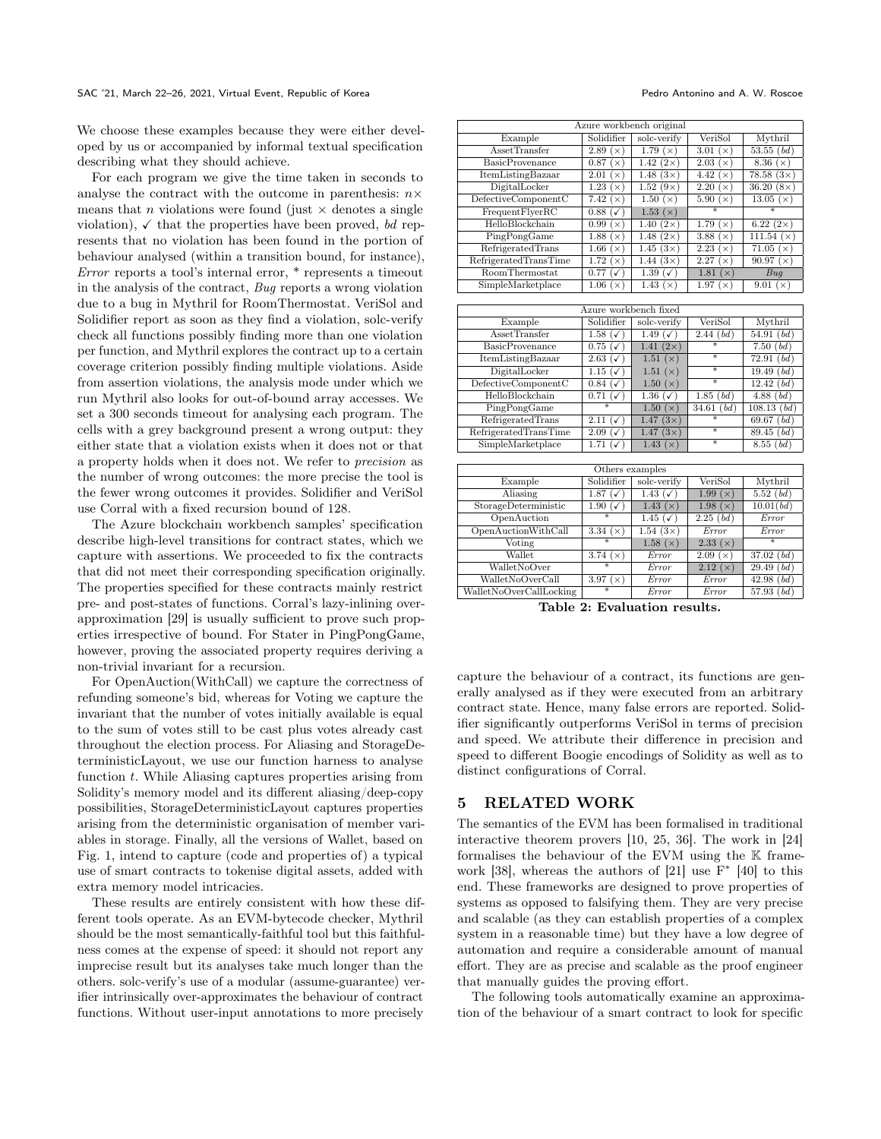We choose these examples because they were either developed by us or accompanied by informal textual specification describing what they should achieve.

For each program we give the time taken in seconds to analyse the contract with the outcome in parenthesis:  $n \times$ means that *n* violations were found (just  $\times$  denotes a single violation),  $\checkmark$  that the properties have been proved, bd represents that no violation has been found in the portion of behaviour analysed (within a transition bound, for instance), Error reports a tool's internal error, \* represents a timeout in the analysis of the contract, Bug reports a wrong violation due to a bug in Mythril for RoomThermostat. VeriSol and Solidifier report as soon as they find a violation, solc-verify check all functions possibly finding more than one violation per function, and Mythril explores the contract up to a certain coverage criterion possibly finding multiple violations. Aside from assertion violations, the analysis mode under which we run Mythril also looks for out-of-bound array accesses. We set a 300 seconds timeout for analysing each program. The cells with a grey background present a wrong output: they either state that a violation exists when it does not or that a property holds when it does not. We refer to precision as the number of wrong outcomes: the more precise the tool is the fewer wrong outcomes it provides. Solidifier and VeriSol use Corral with a fixed recursion bound of 128.

The Azure blockchain workbench samples' specification describe high-level transitions for contract states, which we capture with assertions. We proceeded to fix the contracts that did not meet their corresponding specification originally. The properties specified for these contracts mainly restrict pre- and post-states of functions. Corral's lazy-inlining overapproximation [\[29\]](#page-9-29) is usually sufficient to prove such properties irrespective of bound. For Stater in PingPongGame, however, proving the associated property requires deriving a non-trivial invariant for a recursion.

For OpenAuction(WithCall) we capture the correctness of refunding someone's bid, whereas for Voting we capture the invariant that the number of votes initially available is equal to the sum of votes still to be cast plus votes already cast throughout the election process. For Aliasing and StorageDeterministicLayout, we use our function harness to analyse function  $t$ . While Aliasing captures properties arising from Solidity's memory model and its different aliasing/deep-copy possibilities, StorageDeterministicLayout captures properties arising from the deterministic organisation of member variables in storage. Finally, all the versions of Wallet, based on Fig. [1,](#page-1-1) intend to capture (code and properties of) a typical use of smart contracts to tokenise digital assets, added with extra memory model intricacies.

These results are entirely consistent with how these different tools operate. As an EVM-bytecode checker, Mythril should be the most semantically-faithful tool but this faithfulness comes at the expense of speed: it should not report any imprecise result but its analyses take much longer than the others. solc-verify's use of a modular (assume-guarantee) verifier intrinsically over-approximates the behaviour of contract functions. Without user-input annotations to more precisely

<span id="page-7-1"></span>

| Azure workbench original                |                                    |                                   |                   |                                 |  |  |
|-----------------------------------------|------------------------------------|-----------------------------------|-------------------|---------------------------------|--|--|
| Example                                 | Solidifier                         | solc-verify<br>VeriSol<br>Mythril |                   |                                 |  |  |
| <b>AssetTransfer</b>                    | $\sqrt{2.89}$ (x)                  | 1.79 $(x)$                        | 3.01 $(x)$        | 53.55 (bd)                      |  |  |
| <b>BasicProvenance</b>                  | 0.87 (x)                           | $1.42(2\times)$                   | 2.03(x)           | 8.36 $(x)$                      |  |  |
| ItemListingBazaar                       | 2.01(x)                            | 1.48 $(3\times)$                  | 4.42 $(x)$        | $78.58(3\times)$                |  |  |
| DigitalLocker                           | 1.23(x)                            | $1.52(9\times)$                   | 2.20(x)           | 36.20 $(8\times)$               |  |  |
| $\overline{\text{DefectiveComponentC}}$ | 7.42(x)                            | 1.50 $(x)$                        | 5.90 $(x)$        | 13.05(x)                        |  |  |
| FrequentFlyerRC                         | $0.88~(\checkmark)$                | 1.53(x)                           | $\overline{\ast}$ | ₮                               |  |  |
| HelloBlockchain                         | 0.99(x)                            | 1.40 $(2\times)$                  | 1.79 $(x)$        | 6.22 $(2\times)$                |  |  |
| PingPongGame                            | 1.88 $(x)$                         | 1.48 $(2\times)$                  | 3.88 $(x)$        | 111.54 $(x)$                    |  |  |
| RefrigeratedTrans                       | 1.66 $(\times)$                    | 1.45 $(3\times)$                  | 2.23(x)           | $\overline{71.05}$ ( $\times$ ) |  |  |
| RefrigeratedTransTime                   | 1.72(x)                            | $1.44(3\times)$                   | 2.27(x)           | 90.97 $(x)$                     |  |  |
| RoomThermostat                          | 0.77<br>$(\checkmark)$             | 1.39 $(\checkmark)$               | 1.81 $(x)$        | Bug                             |  |  |
| SimpleMarketplace                       | 1.06 $(\times)$                    | 1.43 $(x)$                        | 1.97 $(\times)$   | 9.01 $(\times)$                 |  |  |
|                                         |                                    |                                   |                   |                                 |  |  |
| Azure workbench fixed                   |                                    |                                   |                   |                                 |  |  |
| Example                                 | Solidifier                         | solc-verify                       | VeriSol           | Mythril                         |  |  |
| <b>AssetTransfer</b>                    | 1.58 $(\checkmark)$                | 1.49 $(\checkmark)$               | 2.44~(bd)         | $\overline{54.91 (bd)}$         |  |  |
| <b>BasicProvenance</b>                  | $0.75~(\checkmark)$                | 1.41 $(2\times)$                  | $\overline{\ast}$ | 7.50~(bd)                       |  |  |
| ItemListingBazaar                       | $2.63 (\checkmark)$                | 1.51(x)                           | $\overline{\ast}$ | 72.91 (bd)                      |  |  |
| DigitalLocker                           | 1.15 $(\checkmark)$                | 1.51(x)                           | $\ast$            | 19.49 (bd)                      |  |  |
| DefectiveComponentC                     | $\overline{0.84}$ ( $\checkmark$ ) | 1.50(x)                           | $\overline{\ast}$ | 12.42 (bd)                      |  |  |
| HelloBlockchain                         | $0.71~(\checkmark)$                | 1.36 ( $\checkmark$ )             | 1.85 (bd)         | 4.88~(bd)                       |  |  |
| PingPongGame                            | $\overline{\ast}$                  | 1.50(x)                           | 34.61 (bd)        | 108.13 (bd)                     |  |  |
| RefrigeratedTrans                       | $2.11~(\checkmark)$                | 1.47 $(3x)$                       | $\ast$            | 69.67 (bd)                      |  |  |
| RefrigeratedTransTime                   | $2.09~(\checkmark)$                | $1.47(3\times)$                   | $\overline{\ast}$ | 89.45 (bd)                      |  |  |
| SimpleMarketplace                       | 1.71 $(\checkmark)$                | 1.43 $(x)$                        | $\ast$            | 8.55 (bd)                       |  |  |
|                                         |                                    |                                   |                   |                                 |  |  |
| Others examples                         |                                    |                                   |                   |                                 |  |  |
| Example                                 | Solidifier                         | solc-verify                       | VeriSol           | Mythril                         |  |  |
| Aliasing                                | $1.87\;(\overline{\sqrt{ }}\,)$    | 1.43 $(\checkmark)$               | 1.99 $(x)$        | 5.52 (bd)                       |  |  |
| StorageDeterministic                    | 1.90 $(\checkmark)$                | 1.43 $(x)$                        | 1.98(x)           | 10.01(bd)                       |  |  |
| OpenAuction                             | $\overline{\ast}$                  | 1.45 $(\checkmark)$               | 2.25 (bd)         | Error                           |  |  |
| OpenAuctionWithCall                     | 3.34 $(\times)$                    | 1.54 $(3\times)$                  | Error             | Error                           |  |  |
| Voting                                  | ¥                                  | 1.58(x)                           | 2.33(x)           | $\overline{\ast}$               |  |  |
| Wallet                                  | 3.74 $(x)$                         | Error                             | 2.09(x)           | 37.02 (bd)                      |  |  |
| WalletNoOver                            | $\overline{\ast}$                  | Error                             | 2.12(x)           | 29.49 (bd)                      |  |  |
| WalletNoOverCall                        | 3.97 $(\times)$                    | $\overline{Error}$                | Error             | 42.98 (bd)                      |  |  |
| WalletNoOverCallLocking                 | $\overline{\ast}$                  | $\overline{Error}$                | Error             | 57.93 (bd)                      |  |  |

Table 2: Evaluation results.

capture the behaviour of a contract, its functions are generally analysed as if they were executed from an arbitrary contract state. Hence, many false errors are reported. Solidifier significantly outperforms VeriSol in terms of precision and speed. We attribute their difference in precision and speed to different Boogie encodings of Solidity as well as to distinct configurations of Corral.

## <span id="page-7-0"></span>5 RELATED WORK

The semantics of the EVM has been formalised in traditional interactive theorem provers [\[10,](#page-9-36) [25,](#page-9-37) [36\]](#page-9-38). The work in [\[24\]](#page-9-19) formalises the behaviour of the EVM using the K framework  $[38]$ , whereas the authors of  $[21]$  use  $F^*$   $[40]$  to this end. These frameworks are designed to prove properties of systems as opposed to falsifying them. They are very precise and scalable (as they can establish properties of a complex system in a reasonable time) but they have a low degree of automation and require a considerable amount of manual effort. They are as precise and scalable as the proof engineer that manually guides the proving effort.

The following tools automatically examine an approximation of the behaviour of a smart contract to look for specific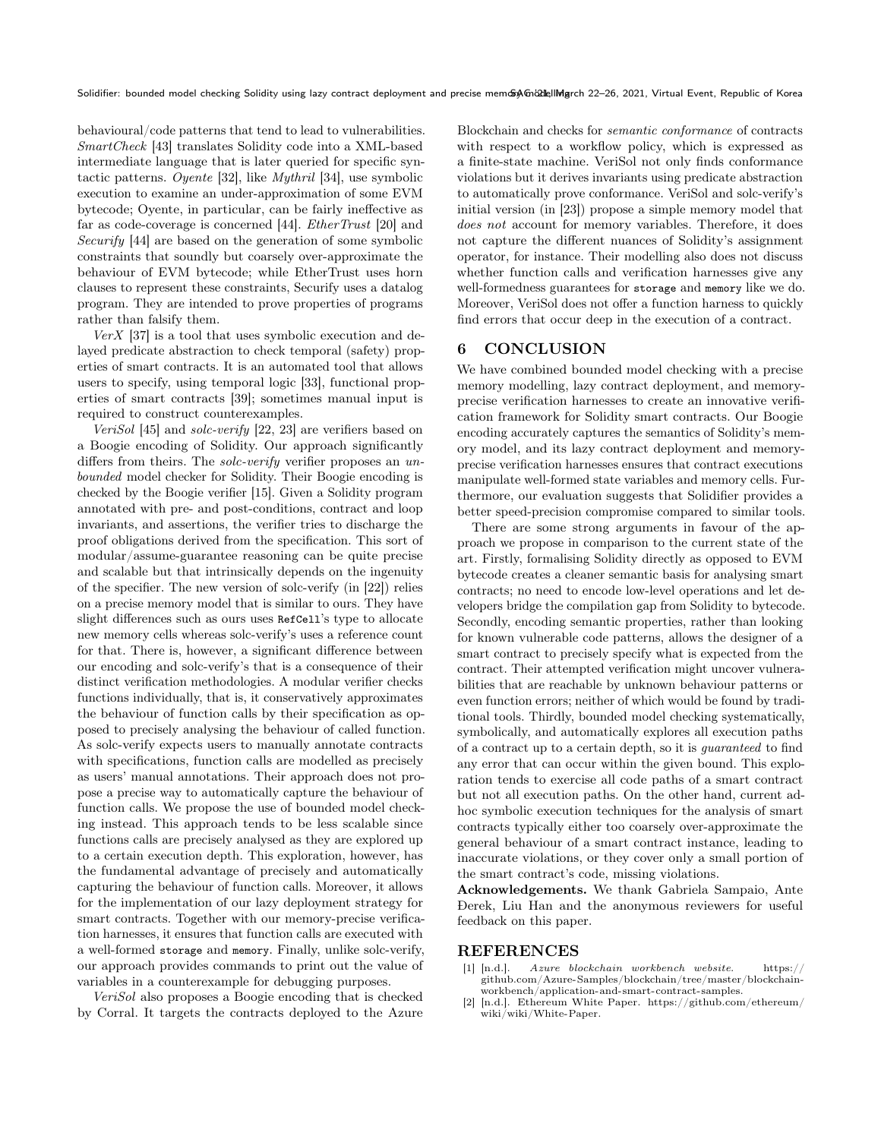behavioural/code patterns that tend to lead to vulnerabilities. SmartCheck [\[43\]](#page-9-41) translates Solidity code into a XML-based intermediate language that is later queried for specific syntactic patterns. Oyente [\[32\]](#page-9-22), like Mythril [\[34\]](#page-9-34), use symbolic execution to examine an under-approximation of some EVM bytecode; Oyente, in particular, can be fairly ineffective as far as code-coverage is concerned [\[44\]](#page-9-23). EtherTrust [\[20\]](#page-9-42) and Securify [\[44\]](#page-9-23) are based on the generation of some symbolic constraints that soundly but coarsely over-approximate the behaviour of EVM bytecode; while EtherTrust uses horn clauses to represent these constraints, Securify uses a datalog program. They are intended to prove properties of programs rather than falsify them.

 $VerX$  [\[37\]](#page-9-27) is a tool that uses symbolic execution and delayed predicate abstraction to check temporal (safety) properties of smart contracts. It is an automated tool that allows users to specify, using temporal logic [\[33\]](#page-9-43), functional properties of smart contracts [\[39\]](#page-9-44); sometimes manual input is required to construct counterexamples.

VeriSol [\[45\]](#page-9-24) and solc-verify [\[22,](#page-9-31) [23\]](#page-9-26) are verifiers based on a Boogie encoding of Solidity. Our approach significantly differs from theirs. The *solc-verify* verifier proposes an unbounded model checker for Solidity. Their Boogie encoding is checked by the Boogie verifier [\[15\]](#page-9-13). Given a Solidity program annotated with pre- and post-conditions, contract and loop invariants, and assertions, the verifier tries to discharge the proof obligations derived from the specification. This sort of modular/assume-guarantee reasoning can be quite precise and scalable but that intrinsically depends on the ingenuity of the specifier. The new version of solc-verify (in [\[22\]](#page-9-31)) relies on a precise memory model that is similar to ours. They have slight differences such as ours uses RefCell's type to allocate new memory cells whereas solc-verify's uses a reference count for that. There is, however, a significant difference between our encoding and solc-verify's that is a consequence of their distinct verification methodologies. A modular verifier checks functions individually, that is, it conservatively approximates the behaviour of function calls by their specification as opposed to precisely analysing the behaviour of called function. As solc-verify expects users to manually annotate contracts with specifications, function calls are modelled as precisely as users' manual annotations. Their approach does not propose a precise way to automatically capture the behaviour of function calls. We propose the use of bounded model checking instead. This approach tends to be less scalable since functions calls are precisely analysed as they are explored up to a certain execution depth. This exploration, however, has the fundamental advantage of precisely and automatically capturing the behaviour of function calls. Moreover, it allows for the implementation of our lazy deployment strategy for smart contracts. Together with our memory-precise verification harnesses, it ensures that function calls are executed with a well-formed storage and memory. Finally, unlike solc-verify, our approach provides commands to print out the value of variables in a counterexample for debugging purposes.

VeriSol also proposes a Boogie encoding that is checked by Corral. It targets the contracts deployed to the Azure Blockchain and checks for semantic conformance of contracts with respect to a workflow policy, which is expressed as a finite-state machine. VeriSol not only finds conformance violations but it derives invariants using predicate abstraction to automatically prove conformance. VeriSol and solc-verify's initial version (in [\[23\]](#page-9-26)) propose a simple memory model that does not account for memory variables. Therefore, it does not capture the different nuances of Solidity's assignment operator, for instance. Their modelling also does not discuss whether function calls and verification harnesses give any well-formedness guarantees for storage and memory like we do. Moreover, VeriSol does not offer a function harness to quickly find errors that occur deep in the execution of a contract.

# <span id="page-8-1"></span>6 CONCLUSION

We have combined bounded model checking with a precise memory modelling, lazy contract deployment, and memoryprecise verification harnesses to create an innovative verification framework for Solidity smart contracts. Our Boogie encoding accurately captures the semantics of Solidity's memory model, and its lazy contract deployment and memoryprecise verification harnesses ensures that contract executions manipulate well-formed state variables and memory cells. Furthermore, our evaluation suggests that Solidifier provides a better speed-precision compromise compared to similar tools.

There are some strong arguments in favour of the approach we propose in comparison to the current state of the art. Firstly, formalising Solidity directly as opposed to EVM bytecode creates a cleaner semantic basis for analysing smart contracts; no need to encode low-level operations and let developers bridge the compilation gap from Solidity to bytecode. Secondly, encoding semantic properties, rather than looking for known vulnerable code patterns, allows the designer of a smart contract to precisely specify what is expected from the contract. Their attempted verification might uncover vulnerabilities that are reachable by unknown behaviour patterns or even function errors; neither of which would be found by traditional tools. Thirdly, bounded model checking systematically, symbolically, and automatically explores all execution paths of a contract up to a certain depth, so it is guaranteed to find any error that can occur within the given bound. This exploration tends to exercise all code paths of a smart contract but not all execution paths. On the other hand, current adhoc symbolic execution techniques for the analysis of smart contracts typically either too coarsely over-approximate the general behaviour of a smart contract instance, leading to inaccurate violations, or they cover only a small portion of the smart contract's code, missing violations.

Acknowledgements. We thank Gabriela Sampaio, Ante Ðerek, Liu Han and the anonymous reviewers for useful feedback on this paper.

#### REFERENCES

- <span id="page-8-2"></span>[1] [n.d.]. Azure blockchain workbench website. [https://](https://github.com/Azure-Samples/blockchain/tree/master/blockchain-workbench/application-and-smart-contract-samples) [github.com/Azure-Samples/blockchain/tree/master/blockchain](https://github.com/Azure-Samples/blockchain/tree/master/blockchain-workbench/application-and-smart-contract-samples)[workbench/application-and-smart-contract-samples.](https://github.com/Azure-Samples/blockchain/tree/master/blockchain-workbench/application-and-smart-contract-samples)
- <span id="page-8-0"></span>[2] [n.d.]. Ethereum White Paper. [https://github.com/ethereum/](https://github.com/ethereum/wiki/wiki/White-Paper) [wiki/wiki/White-Paper.](https://github.com/ethereum/wiki/wiki/White-Paper)